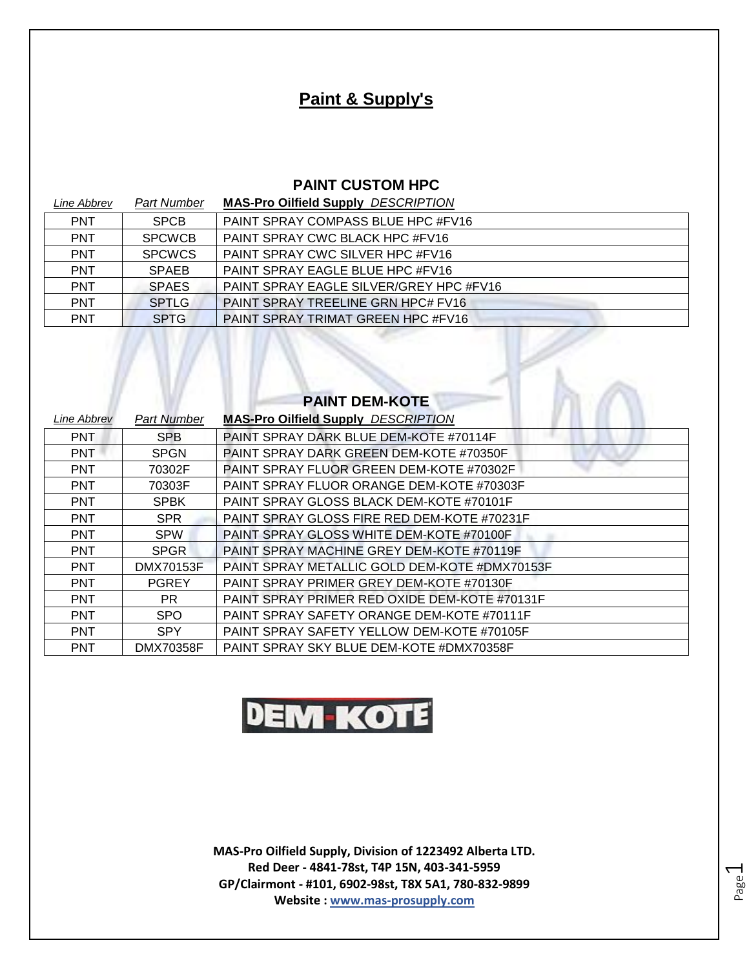# **Paint & Supply's**

#### **PAINT CUSTOM HPC**

| Line Abbrev | <b>Part Number</b> | <b>MAS-Pro Oilfield Supply DESCRIPTION</b>     |
|-------------|--------------------|------------------------------------------------|
| <b>PNT</b>  | <b>SPCB</b>        | <b>PAINT SPRAY COMPASS BLUE HPC #FV16</b>      |
| <b>PNT</b>  | <b>SPCWCB</b>      | PAINT SPRAY CWC BLACK HPC #FV16                |
| <b>PNT</b>  | <b>SPCWCS</b>      | PAINT SPRAY CWC SILVER HPC #FV16               |
| <b>PNT</b>  | <b>SPAEB</b>       | PAINT SPRAY EAGLE BLUE HPC #FV16               |
| <b>PNT</b>  | <b>SPAES</b>       | <b>PAINT SPRAY EAGLE SILVER/GREY HPC #FV16</b> |
| <b>PNT</b>  | <b>SPTLG</b>       | <b>PAINT SPRAY TREELINE GRN HPC# FV16</b>      |
| <b>PNT</b>  | <b>SPTG</b>        | <b>PAINT SPRAY TRIMAT GREEN HPC #FV16</b>      |

|             |                    | <b>PAINT DEM-KOTE</b>                         |
|-------------|--------------------|-----------------------------------------------|
| Line Abbrev | <b>Part Number</b> | <b>MAS-Pro Oilfield Supply DESCRIPTION</b>    |
| <b>PNT</b>  | <b>SPB</b>         | PAINT SPRAY DARK BLUE DEM-KOTE #70114F        |
| <b>PNT</b>  | <b>SPGN</b>        | PAINT SPRAY DARK GREEN DEM-KOTE #70350F       |
| <b>PNT</b>  | 70302F             | PAINT SPRAY FLUOR GREEN DEM-KOTE #70302F      |
| <b>PNT</b>  | 70303F             | PAINT SPRAY FLUOR ORANGE DEM-KOTE #70303F     |
| <b>PNT</b>  | <b>SPBK</b>        | PAINT SPRAY GLOSS BLACK DEM-KOTE #70101F      |
| <b>PNT</b>  | <b>SPR</b>         | PAINT SPRAY GLOSS FIRE RED DEM-KOTE #70231F   |
| <b>PNT</b>  | <b>SPW</b>         | PAINT SPRAY GLOSS WHITE DEM-KOTE #70100F      |
| <b>PNT</b>  | <b>SPGR</b>        | PAINT SPRAY MACHINE GREY DEM-KOTE #70119F     |
| <b>PNT</b>  | DMX70153F          | PAINT SPRAY METALLIC GOLD DEM-KOTE #DMX70153F |
| <b>PNT</b>  | <b>PGREY</b>       | PAINT SPRAY PRIMER GREY DEM-KOTE #70130F      |
| <b>PNT</b>  | PR.                | PAINT SPRAY PRIMER RED OXIDE DEM-KOTE #70131F |
| <b>PNT</b>  | <b>SPO</b>         | PAINT SPRAY SAFETY ORANGE DEM-KOTE #70111F    |
| <b>PNT</b>  | <b>SPY</b>         | PAINT SPRAY SAFETY YELLOW DEM-KOTE #70105F    |
| <b>PNT</b>  | <b>DMX70358F</b>   | PAINT SPRAY SKY BLUE DEM-KOTE #DMX70358F      |

# **DEM-KOTE**

**MAS-Pro Oilfield Supply, Division of 1223492 Alberta LTD. Red Deer - 4841-78st, T4P 15N, 403-341-5959 GP/Clairmont - #101, 6902-98st, T8X 5A1, 780-832-9899 Website : www.mas-prosupply.com**

Page  $\overline{\phantom{0}}$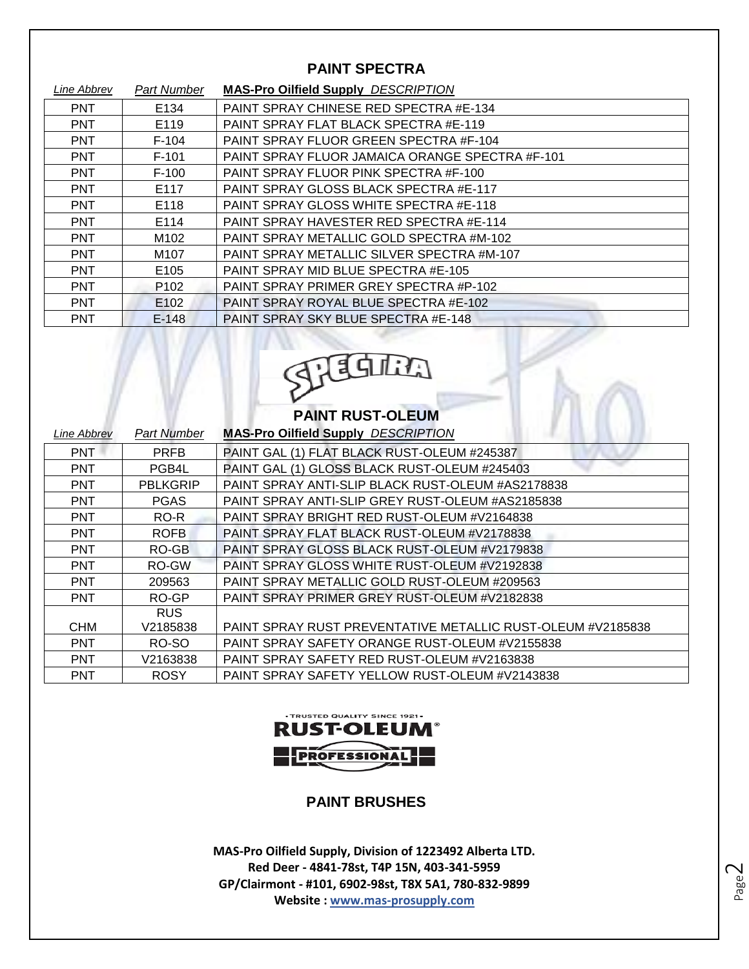### **PAINT SPECTRA**

| Line Abbrev | <b>Part Number</b> | <b>MAS-Pro Oilfield Supply DESCRIPTION</b>      |
|-------------|--------------------|-------------------------------------------------|
| <b>PNT</b>  | E134               | PAINT SPRAY CHINESE RED SPECTRA #E-134          |
| <b>PNT</b>  | E119               | PAINT SPRAY FLAT BLACK SPECTRA #E-119           |
| <b>PNT</b>  | $F-104$            | PAINT SPRAY FLUOR GREEN SPECTRA #F-104          |
| <b>PNT</b>  | $F-101$            | PAINT SPRAY FLUOR JAMAICA ORANGE SPECTRA #F-101 |
| <b>PNT</b>  | $F-100$            | PAINT SPRAY FLUOR PINK SPECTRA #F-100           |
| <b>PNT</b>  | E117               | PAINT SPRAY GLOSS BLACK SPECTRA #E-117          |
| <b>PNT</b>  | E118               | PAINT SPRAY GLOSS WHITE SPECTRA #E-118          |
| <b>PNT</b>  | E114               | PAINT SPRAY HAVESTER RED SPECTRA #E-114         |
| <b>PNT</b>  | M102               | PAINT SPRAY METALLIC GOLD SPECTRA #M-102        |
| <b>PNT</b>  | M <sub>107</sub>   | PAINT SPRAY METALLIC SILVER SPECTRA #M-107      |
| <b>PNT</b>  | E <sub>105</sub>   | PAINT SPRAY MID BLUE SPECTRA #E-105             |
| <b>PNT</b>  | P <sub>102</sub>   | PAINT SPRAY PRIMER GREY SPECTRA #P-102          |
| <b>PNT</b>  | E102               | PAINT SPRAY ROYAL BLUE SPECTRA #E-102           |
| <b>PNT</b>  | $E-148$            | PAINT SPRAY SKY BLUE SPECTRA #E-148             |



# **PAINT RUST-OLEUM**

| Line Abbrev | <b>Part Number</b> | <b>MAS-Pro Oilfield Supply DESCRIPTION</b>                  |
|-------------|--------------------|-------------------------------------------------------------|
| <b>PNT</b>  | <b>PRFB</b>        | PAINT GAL (1) FLAT BLACK RUST-OLEUM #245387                 |
| <b>PNT</b>  | PGB4L              | PAINT GAL (1) GLOSS BLACK RUST-OLEUM #245403                |
| <b>PNT</b>  | <b>PBLKGRIP</b>    | PAINT SPRAY ANTI-SLIP BLACK RUST-OLEUM #AS2178838           |
| <b>PNT</b>  | <b>PGAS</b>        | PAINT SPRAY ANTI-SLIP GREY RUST-OLEUM #AS2185838            |
| <b>PNT</b>  | RO-R               | PAINT SPRAY BRIGHT RED RUST-OLEUM #V2164838                 |
| <b>PNT</b>  | <b>ROFB</b>        | PAINT SPRAY FLAT BLACK RUST-OLEUM #V2178838                 |
| <b>PNT</b>  | RO-GB              | PAINT SPRAY GLOSS BLACK RUST-OLEUM #V2179838                |
| <b>PNT</b>  | RO-GW              | PAINT SPRAY GLOSS WHITE RUST-OLEUM #V2192838                |
| <b>PNT</b>  | 209563             | PAINT SPRAY METALLIC GOLD RUST-OLEUM #209563                |
| <b>PNT</b>  | RO-GP              | PAINT SPRAY PRIMER GREY RUST-OLEUM #V2182838                |
|             | <b>RUS</b>         |                                                             |
| <b>CHM</b>  | V2185838           | PAINT SPRAY RUST PREVENTATIVE METALLIC RUST-OLEUM #V2185838 |
| <b>PNT</b>  | RO-SO              | PAINT SPRAY SAFETY ORANGE RUST-OLEUM #V2155838              |
| <b>PNT</b>  | V2163838           | PAINT SPRAY SAFETY RED RUST-OLEUM #V2163838                 |
| <b>PNT</b>  | <b>ROSY</b>        | PAINT SPRAY SAFETY YELLOW RUST-OLEUM #V2143838              |



## **PAINT BRUSHES**

**MAS-Pro Oilfield Supply, Division of 1223492 Alberta LTD. Red Deer - 4841-78st, T4P 15N, 403-341-5959 GP/Clairmont - #101, 6902-98st, T8X 5A1, 780-832-9899 Website : www.mas-prosupply.com**